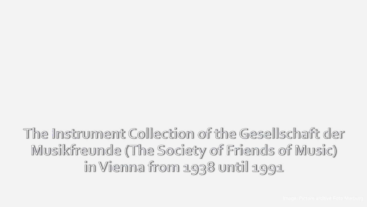The Instrument Collection of the Gesellschaft der Musikfreunde (The Society of Friends of Music) in Vienna from 1938 until 1991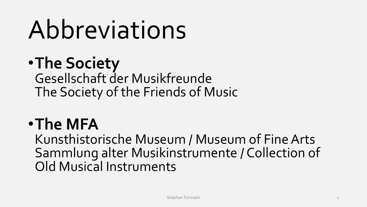# Abbreviations

### •**The Society** Gesellschaft der Musikfreunde The Society of the Friends of Music

### •**The MFA**

Kunsthistorische Museum / Museum of Fine Arts Sammlung alter Musikinstrumente / Collection of Old Musical Instruments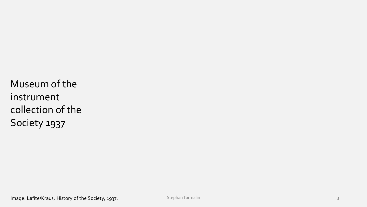Museum of the instrument collection of the Society 1937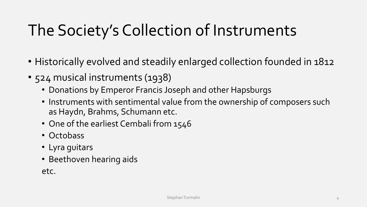## The Society's Collection of Instruments

- Historically evolved and steadily enlarged collection founded in 1812
- 524 musical instruments (1938)
	- Donations by Emperor Francis Joseph and other Hapsburgs
	- Instruments with sentimental value from the ownership of composers such as Haydn, Brahms, Schumann etc.
	- One of the earliest Cembali from 1546
	- Octobass
	- Lyra guitars
	- Beethoven hearing aids

etc.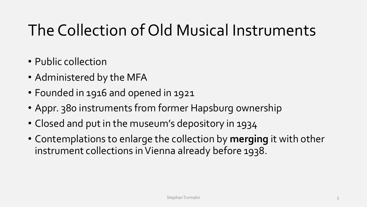### The Collection of Old Musical Instruments

- Public collection
- Administered by the MFA
- Founded in 1916 and opened in 1921
- Appr. 380 instruments from former Hapsburg ownership
- Closed and put in the museum's depository in 1934
- Contemplations to enlarge the collection by **merging** it with other instrument collections in Vienna already before 1938.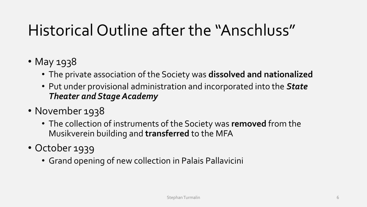### Historical Outline after the "Anschluss"

- May 1938
	- The private association of the Society was **dissolved and nationalized**
	- Put under provisional administration and incorporated into the *State Theater and Stage Academy*
- November 1938
	- The collection of instruments of the Society was **removed** from the Musikverein building and **transferred** to the MFA
- October 1939
	- Grand opening of new collection in Palais Pallavicini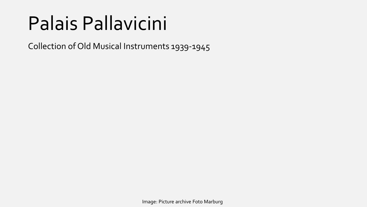## Palais Pallavicini

Collection of Old Musical Instruments 1939-1945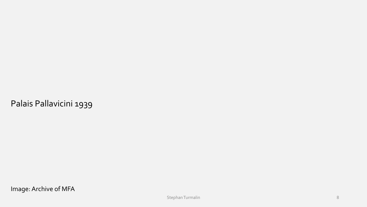Palais Pallavicini 1939

Image: Archive of MFA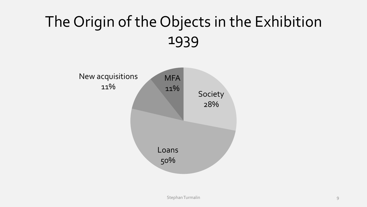### The Origin of the Objects in the Exhibition 1939

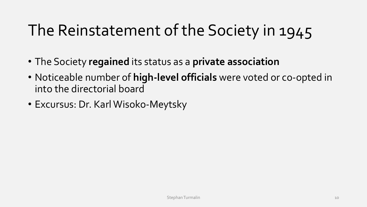### The Reinstatement of the Society in 1945

- The Society **regained** its status as a **private association**
- Noticeable number of **high-level officials** were voted or co-opted in into the directorial board
- Excursus: Dr. Karl Wisoko-Meytsky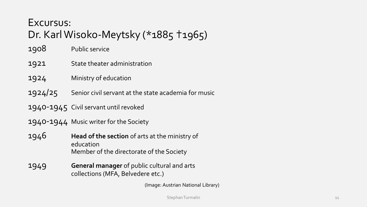#### Excursus: Dr. Karl Wisoko-Meytsky (\*1885 †1965)

1908 Public service

- 1921 State theater administration
- 1924 Ministry of education
- 1924/25 Senior civil servant at the state academia for music

1940-1945 Civil servant until revoked

1940-1944 Music writer for the Society

- 1946 **Head of the section** of arts at the ministry of education Member of the directorate of the Society
- 1949 **General manager** of public cultural and arts collections (MFA, Belvedere etc.)

(Image: Austrian National Library)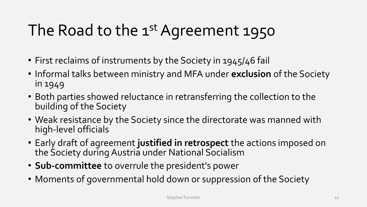## The Road to the 1<sup>st</sup> Agreement 1950

- First reclaims of instruments by the Society in 1945/46 fail
- Informal talks between ministry and MFA under **exclusion** of the Society in 1949
- Both parties showed reluctance in retransferring the collection to the building of the Society
- Weak resistance by the Society since the directorate was manned with high-level officials
- Early draft of agreement **justified in retrospect** the actions imposed on the Society during Austria under National Socialism
- **Sub-committee** to overrule the president's power
- Moments of governmental hold down or suppression of the Society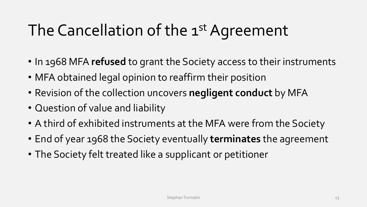### The Cancellation of the 1<sup>st</sup> Agreement

- In 1968 MFA **refused** to grant the Society access to their instruments
- MFA obtained legal opinion to reaffirm their position
- Revision of the collection uncovers **negligent conduct** by MFA
- Question of value and liability
- A third of exhibited instruments at the MFA were from the Society
- End of year 1968 the Society eventually **terminates** the agreement
- The Society felt treated like a supplicant or petitioner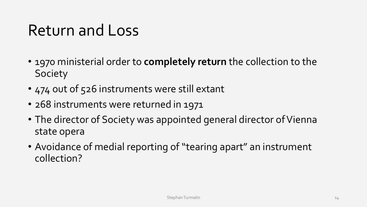### Return and Loss

- 1970 ministerial order to **completely return** the collection to the **Society**
- 474 out of 526 instruments were still extant
- 268 instruments were returned in 1971
- The director of Society was appointed general director of Vienna state opera
- Avoidance of medial reporting of "tearing apart" an instrument collection?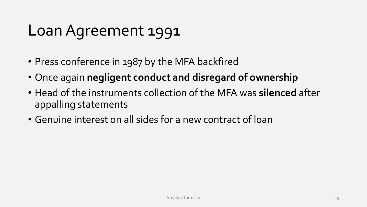### Loan Agreement 1991

- Press conference in 1987 by the MFA backfired
- Once again **negligent conduct and disregard of ownership**
- Head of the instruments collection of the MFA was **silenced** after appalling statements
- Genuine interest on all sides for a new contract of loan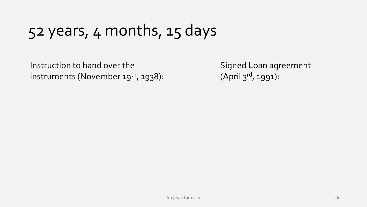### 52 years, 4 months, 15 days

Instruction to hand over the instruments (November  $19^{th}$ , 1938):

Signed Loan agreement (April 3rd, 1991):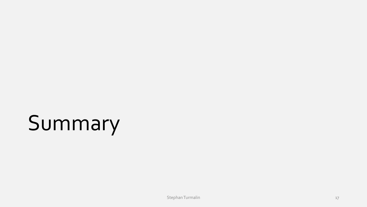# Summary